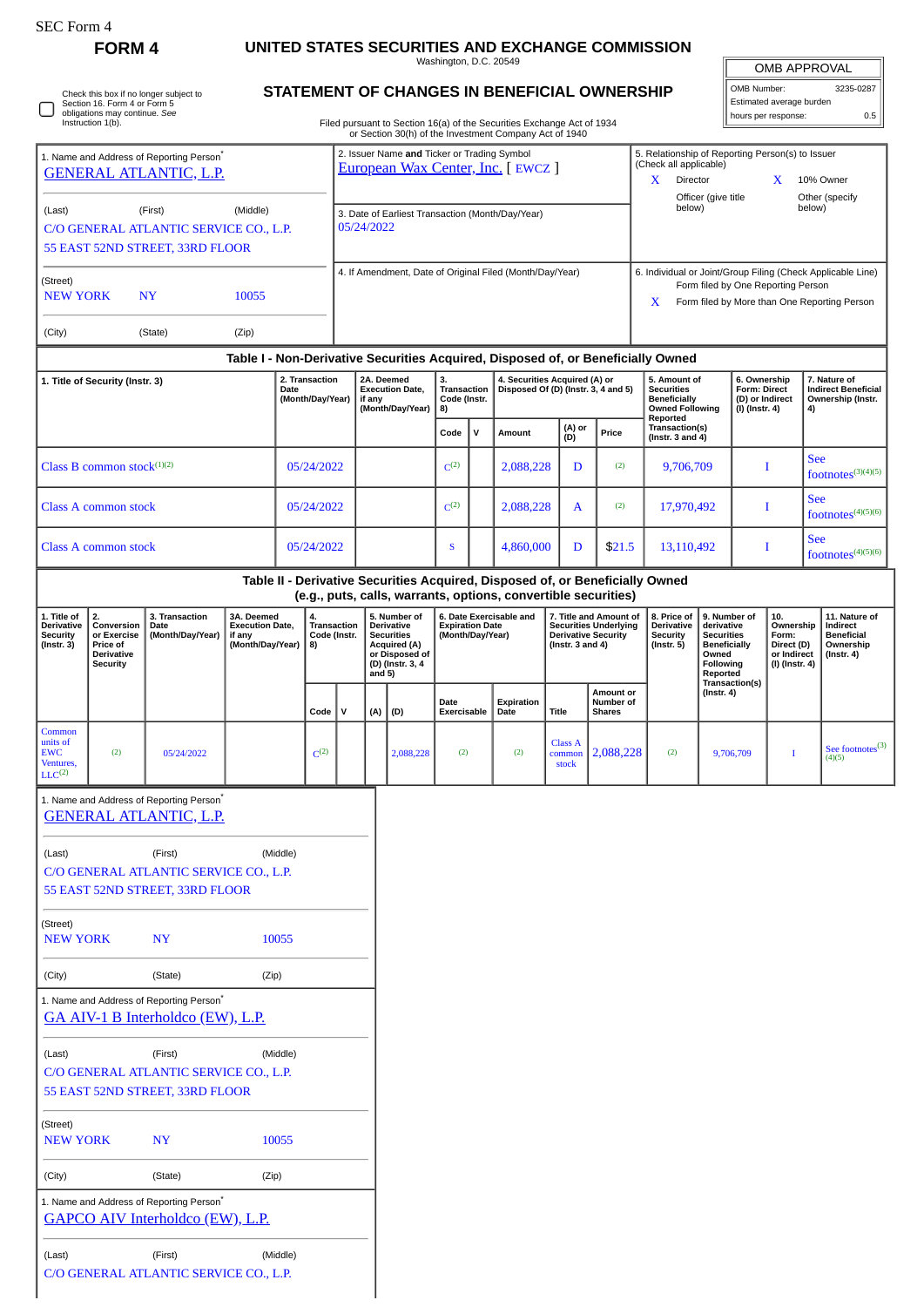0

Check this box if no longer subject to Section 16. Form 4 or Form 5 obligations may continue. *See* Instruction 1(b).

1. Name and Address of Reporting Person<sup>\*</sup>

## **FORM 4 UNITED STATES SECURITIES AND EXCHANGE COMMISSION**

Washington, D.C. 20549

| <b>OMB APPROVAL</b>      |           |  |  |  |  |
|--------------------------|-----------|--|--|--|--|
| OMB Number:              | 3235-0287 |  |  |  |  |
| Estimated average burden |           |  |  |  |  |

hours per response: 0.5

| Filed pursuant to Section 16(a) of the Secur |
|----------------------------------------------|
| ar Castian 20(b) of the Investment C         |

## **STATEMENT OF CHANGES IN BENEFICIAL OWNERSHIP**

Filed pursuant to Section 16(a) of the Securities Exchange Act of 1934 or Section 30(h) of the Investment Company Act of 1940 2. Issuer Name **and** Ticker or Trading Symbol<br><u>[European Wax Center, Inc.](http://www.sec.gov/cgi-bin/browse-edgar?action=getcompany&CIK=0001856236)</u> [ EWCZ ] 5. Relationship of Reporting Person(s) to Issuer (Check all applicable)

| <b>GENERAL ATLANTIC, L.P.</b>                                                                              |                      |                                                   |                                                                    | <u>European Wax Center, Inc.</u>   EWCZ                                                                                                         |           |                                                                      |           |               |                                                                                                | (Cricch all applicable)<br>X<br>Director<br>Officer (give title   | $\mathbf{x}$                                                          | 10% Owner<br>Other (specify                  |
|------------------------------------------------------------------------------------------------------------|----------------------|---------------------------------------------------|--------------------------------------------------------------------|-------------------------------------------------------------------------------------------------------------------------------------------------|-----------|----------------------------------------------------------------------|-----------|---------------|------------------------------------------------------------------------------------------------|-------------------------------------------------------------------|-----------------------------------------------------------------------|----------------------------------------------|
| (Middle)<br>(Last)<br>(First)<br>C/O GENERAL ATLANTIC SERVICE CO., L.P.<br>55 EAST 52ND STREET, 33RD FLOOR |                      |                                                   |                                                                    | 3. Date of Earliest Transaction (Month/Day/Year)<br>05/24/2022                                                                                  |           |                                                                      |           |               |                                                                                                | below)                                                            |                                                                       | below)                                       |
| (Street)<br><b>NEW YORK</b><br>(City)                                                                      | <b>NY</b><br>(State) | 10055<br>(Zip)                                    |                                                                    | 4. If Amendment, Date of Original Filed (Month/Day/Year)                                                                                        |           |                                                                      |           |               |                                                                                                | 6. Individual or Joint/Group Filing (Check Applicable Line)<br>X  | Form filed by One Reporting Person                                    | Form filed by More than One Reporting Person |
|                                                                                                            |                      |                                                   |                                                                    | Table I - Non-Derivative Securities Acquired, Disposed of, or Beneficially Owned                                                                |           |                                                                      |           |               |                                                                                                |                                                                   |                                                                       |                                              |
| 1. Title of Security (Instr. 3)                                                                            |                      | 2. Transaction<br><b>Date</b><br>(Month/Day/Year) | 2A. Deemed<br><b>Execution Date.</b><br>if any<br>(Month/Day/Year) | 3.<br><b>Transaction</b><br>Code (Instr.<br>8)                                                                                                  |           | 4. Securities Acquired (A) or<br>Disposed Of (D) (Instr. 3, 4 and 5) |           |               | 5. Amount of<br><b>Securities</b><br><b>Beneficially</b><br><b>Owned Following</b><br>Reported | 6. Ownership<br>Form: Direct<br>(D) or Indirect<br>(I) (Instr. 4) | 7. Nature of<br><b>Indirect Beneficial</b><br>Ownership (Instr.<br>4) |                                              |
|                                                                                                            |                      |                                                   |                                                                    |                                                                                                                                                 | Code      | $\mathbf v$                                                          | Amount    | (A) or<br>(D) | Price                                                                                          | Transaction(s)<br>( $lnstr. 3 and 4$ )                            |                                                                       |                                              |
| Class B common stock $(1)(2)$                                                                              |                      |                                                   | 05/24/2022                                                         |                                                                                                                                                 | $C^{(2)}$ |                                                                      | 2,088,228 | D             | (2)                                                                                            | 9,706,709                                                         |                                                                       | <b>See</b><br>footnotes $(3)(4)(5)$          |
| Class A common stock                                                                                       |                      |                                                   | 05/24/2022                                                         |                                                                                                                                                 | $C^{(2)}$ |                                                                      | 2,088,228 | $\mathsf{A}$  | (2)                                                                                            | 17,970,492                                                        | Т                                                                     | <b>See</b><br>footnotes $(4)(5)(6)$          |
| Class A common stock                                                                                       |                      |                                                   | 05/24/2022                                                         |                                                                                                                                                 | S         |                                                                      | 4,860,000 | D             | \$21.5                                                                                         | 13,110,492                                                        | I                                                                     | <b>See</b><br>footnotes $(4)(5)(6)$          |
|                                                                                                            |                      |                                                   |                                                                    | Table II - Derivative Securities Acquired, Disposed of, or Beneficially Owned<br>(e.g., puts, calls, warrants, options, convertible securities) |           |                                                                      |           |               |                                                                                                |                                                                   |                                                                       |                                              |

| 1. Title of<br><b>Derivative</b><br>Security<br>$($ Instr. 3 $)$    | 2.<br>Conversion<br>or Exercise<br><b>Price of</b><br>Derivative | 3. Transaction<br>Date<br>(Month/Day/Year) | 3A. Deemed<br><b>Execution Date.</b><br>if anv<br>(Month/Day/Year) | 4.<br>8)  | 5. Number of<br>Transaction<br><b>Derivative</b><br>Code (Instr.<br><b>Securities</b><br>Acquired (A) |               | or Disposed of           |                     | 6. Date Exercisable and<br><b>Expiration Date</b><br>(Month/Day/Year) |                            |                                                |     | 7. Title and Amount of<br><b>Securities Underlying</b><br><b>Derivative Security</b><br>(Instr. $3$ and $4$ ) |                | 8. Price of I<br><b>Derivative</b><br>Security<br>(Instr. 5) | 9. Number of<br>derivative<br><b>Securities</b><br>Beneficially<br>Owned | 10.<br>Ownership<br>Form:<br>Direct (D)<br>or Indirect | 11. Nature of<br>Indirect<br><b>Beneficial</b><br>Ownership<br>(Instr. 4) |
|---------------------------------------------------------------------|------------------------------------------------------------------|--------------------------------------------|--------------------------------------------------------------------|-----------|-------------------------------------------------------------------------------------------------------|---------------|--------------------------|---------------------|-----------------------------------------------------------------------|----------------------------|------------------------------------------------|-----|---------------------------------------------------------------------------------------------------------------|----------------|--------------------------------------------------------------|--------------------------------------------------------------------------|--------------------------------------------------------|---------------------------------------------------------------------------|
|                                                                     | Security                                                         |                                            |                                                                    | Code      | v                                                                                                     | and 5)<br>(A) | (D) (Instr. 3, 4<br> (D) | Date<br>Exercisable | Expiration<br>Date                                                    | Title                      | <b>Amount or</b><br>Number of<br><b>Shares</b> |     | <b>Following</b><br>Reported<br>Transaction(s)<br>(Instr. 4)                                                  | (I) (Instr. 4) |                                                              |                                                                          |                                                        |                                                                           |
| Common<br>units of<br><b>EWC</b><br>Ventures,<br>LLC <sup>(2)</sup> | (2)                                                              | 05/24/2022                                 |                                                                    | $C^{(2)}$ |                                                                                                       |               | 2,088,228                | (2)                 | (2)                                                                   | Class A<br>common<br>stock | 2,088,228                                      | (2) | 9,706,709                                                                                                     |                | $\blacklozenge$ See footnotes <sup>(3)</sup><br>(4)(5)       |                                                                          |                                                        |                                                                           |

|                                        | 1. Name and Address of Reporting Person <sup>®</sup>                                             |          |  |  |  |  |  |
|----------------------------------------|--------------------------------------------------------------------------------------------------|----------|--|--|--|--|--|
|                                        | <u>GENERAL ATLANTIC, L.P.</u>                                                                    |          |  |  |  |  |  |
| (Last)                                 | (First)                                                                                          | (Middle) |  |  |  |  |  |
| C/O GENERAL ATLANTIC SERVICE CO., L.P. |                                                                                                  |          |  |  |  |  |  |
|                                        | 55 EAST 52ND STREET, 33RD FLOOR                                                                  |          |  |  |  |  |  |
| (Street)                               |                                                                                                  |          |  |  |  |  |  |
| <b>NEW YORK</b>                        | <b>NY</b>                                                                                        | 10055    |  |  |  |  |  |
| (City)                                 | (State)                                                                                          | (Zip)    |  |  |  |  |  |
|                                        | 1. Name and Address of Reporting Person <sup>®</sup><br><b>GA AIV-1 B Interholdco (EW), L.P.</b> |          |  |  |  |  |  |
| (Last)                                 | (First)                                                                                          | (Middle) |  |  |  |  |  |
|                                        | C/O GENERAL ATLANTIC SERVICE CO., L.P.                                                           |          |  |  |  |  |  |
|                                        | 55 EAST 52ND STREET, 33RD FLOOR                                                                  |          |  |  |  |  |  |
| (Street)                               |                                                                                                  |          |  |  |  |  |  |
| <b>NEW YORK</b>                        | <b>NY</b>                                                                                        | 10055    |  |  |  |  |  |
| (City)                                 | (State)                                                                                          | (Zip)    |  |  |  |  |  |
|                                        | 1. Name and Address of Reporting Person <sup>*</sup>                                             |          |  |  |  |  |  |
|                                        | <u>GAPCO AIV Interholdco (EW), L.P.</u>                                                          |          |  |  |  |  |  |
| (Last)                                 | (First)                                                                                          | (Middle) |  |  |  |  |  |
|                                        | C/O GENERAL ATLANTIC SERVICE CO., L.P.                                                           |          |  |  |  |  |  |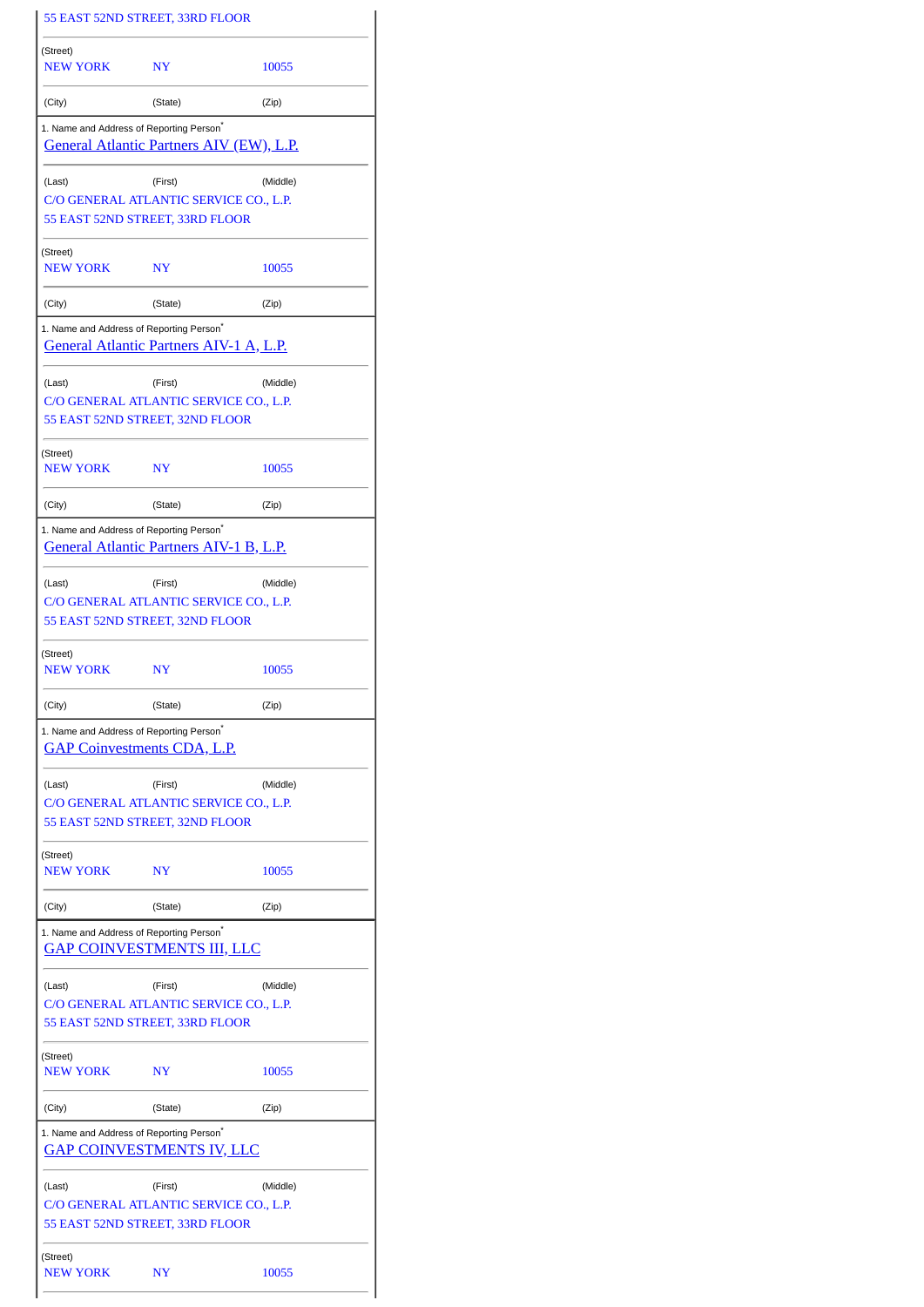|                                                                                     | 55 EAST 52ND STREET, 33RD FLOOR                                                      |          |
|-------------------------------------------------------------------------------------|--------------------------------------------------------------------------------------|----------|
| (Street)<br><b>NEW YORK</b>                                                         | N <sub>Y</sub>                                                                       | 10055    |
| (City)                                                                              | (State)                                                                              | (Zip)    |
| 1. Name and Address of Reporting Person <sup>®</sup>                                | <u>General Atlantic Partners AIV (EW), L.P.</u>                                      |          |
| (Last)                                                                              | (First)<br>C/O GENERAL ATLANTIC SERVICE CO., L.P.<br>55 EAST 52ND STREET, 33RD FLOOR | (Middle) |
| (Street)<br><b>NEW YORK</b>                                                         | NY                                                                                   | 10055    |
| (City)                                                                              | (State)                                                                              | (Zip)    |
| 1. Name and Address of Reporting Person <sup>®</sup>                                | General Atlantic Partners AIV-1 A, L.P.                                              |          |
| (Last)                                                                              | (First)<br>C/O GENERAL ATLANTIC SERVICE CO., L.P.<br>55 EAST 52ND STREET, 32ND FLOOR | (Middle) |
| (Street)<br><b>NEW YORK</b>                                                         | N <sub>Y</sub>                                                                       | 10055    |
| (City)                                                                              | (State)                                                                              | (Zip)    |
| 1. Name and Address of Reporting Person <sup>®</sup>                                | General Atlantic Partners AIV-1 B, L.P.                                              |          |
| (Last)                                                                              | (First)<br>C/O GENERAL ATLANTIC SERVICE CO., L.P.<br>55 EAST 52ND STREET, 32ND FLOOR | (Middle) |
| (Street)<br><b>NEW YORK</b>                                                         | N <sub>Y</sub>                                                                       | 10055    |
| (City)                                                                              | (State)                                                                              | (Zip)    |
| 1. Name and Address of Reporting Person <sup>®</sup><br>GAP Coinvestments CDA, L.P. |                                                                                      |          |
| (Last)                                                                              | (First)                                                                              | (Middle) |
|                                                                                     | C/O GENERAL ATLANTIC SERVICE CO., L.P.<br>55 EAST 52ND STREET, 32ND FLOOR            |          |
| (Street)<br>NEW YORK                                                                | <b>NY</b>                                                                            | 10055    |
| (City)                                                                              | (State)                                                                              | (Zip)    |
| 1. Name and Address of Reporting Person <sup>®</sup>                                | <b>GAP COINVESTMENTS III, LLC</b>                                                    |          |
| (Last)                                                                              | (First)<br>C/O GENERAL ATLANTIC SERVICE CO., L.P.<br>55 EAST 52ND STREET, 33RD FLOOR | (Middle) |
| (Street)<br><b>NEW YORK</b>                                                         | N <sub>Y</sub>                                                                       | 10055    |
| (City)                                                                              | (State)                                                                              | (Zip)    |
| 1. Name and Address of Reporting Person <sup>®</sup>                                | <u>GAP COINVESTMENTS IV, LLC</u>                                                     |          |
| (Last)                                                                              | (First)<br>C/O GENERAL ATLANTIC SERVICE CO., L.P.<br>55 EAST 52ND STREET, 33RD FLOOR | (Middle) |
| (Street)<br><b>NEW YORK</b>                                                         | NY                                                                                   | 10055    |